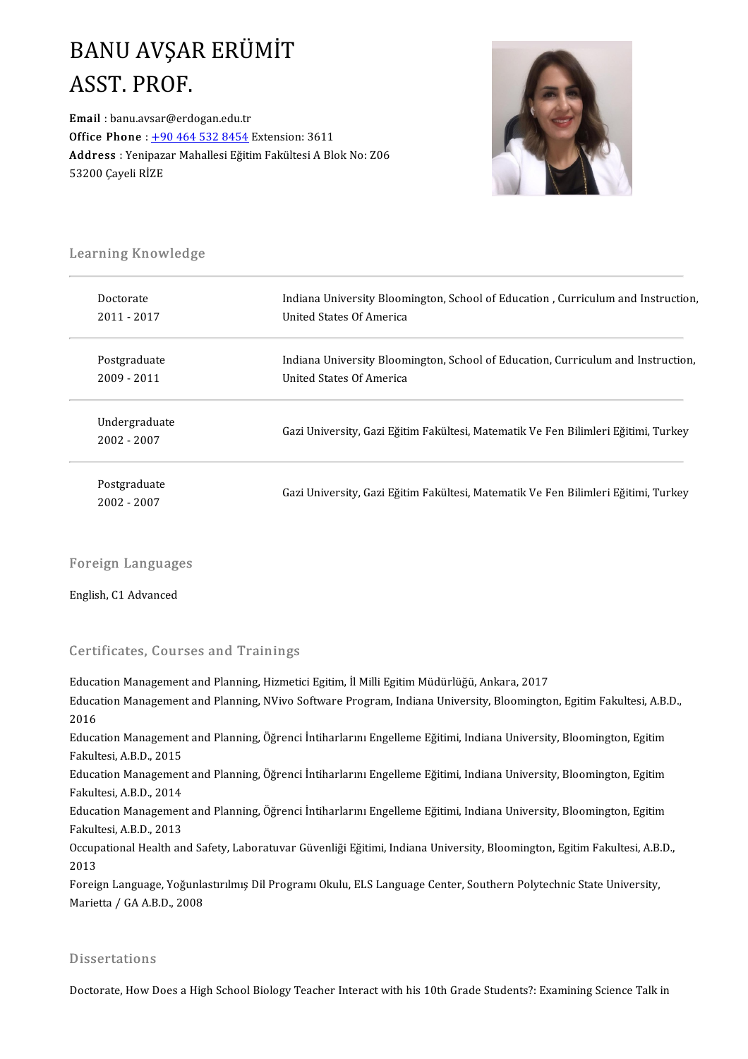## **BANU AVŞAR ERÜMİT**<br>ASST PROF **BANU AVŞAI<br>ASST. PROF.**<br>Email : banu.avsar@erde ASST. PROF.<br>Email : banu.avsar@erdogan.edu.tr

Office Phone: +90 464 532 8454 Extension: 3611 Email : banu.avsar@erdogan.edu.tr<br>Office Phone : <u>+90 464 532 8454</u> Extension: 3611<br>Address : Yenipazar Mahallesi Eğitim Fakültesi A Blok No: Z06<br>53200 Caveli Pi7F Office Phone : <u>+9</u><br>Address : Yenipaz:<br>53200 Çayeli RİZE



# .<br>Learning Knowledge

| Learning Knowledge           |                                                                                    |
|------------------------------|------------------------------------------------------------------------------------|
| Doctorate                    | Indiana University Bloomington, School of Education, Curriculum and Instruction,   |
| 2011 - 2017                  | United States Of America                                                           |
| Postgraduate                 | Indiana University Bloomington, School of Education, Curriculum and Instruction,   |
| 2009 - 2011                  | United States Of America                                                           |
| Undergraduate<br>2002 - 2007 | Gazi University, Gazi Eğitim Fakültesi, Matematik Ve Fen Bilimleri Eğitimi, Turkey |
| Postgraduate<br>2002 - 2007  | Gazi University, Gazi Eğitim Fakültesi, Matematik Ve Fen Bilimleri Eğitimi, Turkey |

## Foreign Languages Foreign Language<br>English, C1 Advanced

# English, C1 Advanced<br>Certificates, Courses and Trainings

Certificates, Courses and Trainings<br>Education Management and Planning, Hizmetici Egitim, İl Milli Egitim Müdürlüğü, Ankara, 2017<br>Education Management and Planning, NVive Seftyare Pregram, Indiana University, Plaemingte Ber Effredtes), Godf ses dina Prafiffrings<br>Education Management and Planning, Hizmetici Egitim, İl Milli Egitim Müdürlüğü, Ankara, 2017<br>2016 Educa<br>Educa<br>2016<br>Educa Education Management and Planning, NVivo Software Program, Indiana University, Bloomington, Egitim Fakultesi, A.B.I<br>2016<br>Education Management and Planning, Öğrenci İntiharlarını Engelleme Eğitimi, Indiana University, Bloom 2016<br>Education Managemen<br>Fakultesi, A.B.D., 2015<br>Education Managemen Education Management and Planning, Öğrenci İntiharlarını Engelleme Eğitimi, Indiana University, Bloomington, Egitim<br>Fakultesi, A.B.D., 2015<br>Education Management and Planning, Öğrenci İntiharlarını Engelleme Eğitimi, Indian Fakultesi, A.B.D., 2015<br>Education Managemen<br>Fakultesi, A.B.D., 2014<br>Education Managemen Education Management and Planning, Öğrenci İntiharlarını Engelleme Eğitimi, Indiana University, Bloomington, Egitim<br>Fakultesi, A.B.D., 2014<br>Education Management and Planning, Öğrenci İntiharlarını Engelleme Eğitimi, Indian Fakultesi, A.B.D., 2014<br>Education Management and Planning, Öğrenci İntiharlarını Engelleme Eğitimi, Indiana University, Bloomington, Egitim<br>Fakultesi, A.B.D., 2013 Education Management and Planning, Öğrenci İntiharlarını Engelleme Eğitimi, Indiana University, Bloomington, Egitim<br>Fakultesi, A.B.D., 2013<br>Occupational Health and Safety, Laboratuvar Güvenliği Eğitimi, Indiana University, Fakult<br>Occup<br>2013<br>Eoreis Occupational Health and Safety, Laboratuvar Güvenliği Eğitimi, Indiana University, Bloomington, Egitim Fakultesi, A.B.<br>2013<br>Foreign Language, Yoğunlastırılmış Dil Programı Okulu, ELS Language Center, Southern Polytechnic S 2013<br>Foreign Language, Yoğunlastırılmış Dil Programı Okulu, ELS Language Center, Southern Polytechnic State University,<br>Marietta / GA A.B.D., 2008

### **Dissertations**

Doctorate, How Does a High School Biology Teacher Interact with his 10th Grade Students?: Examining Science Talk in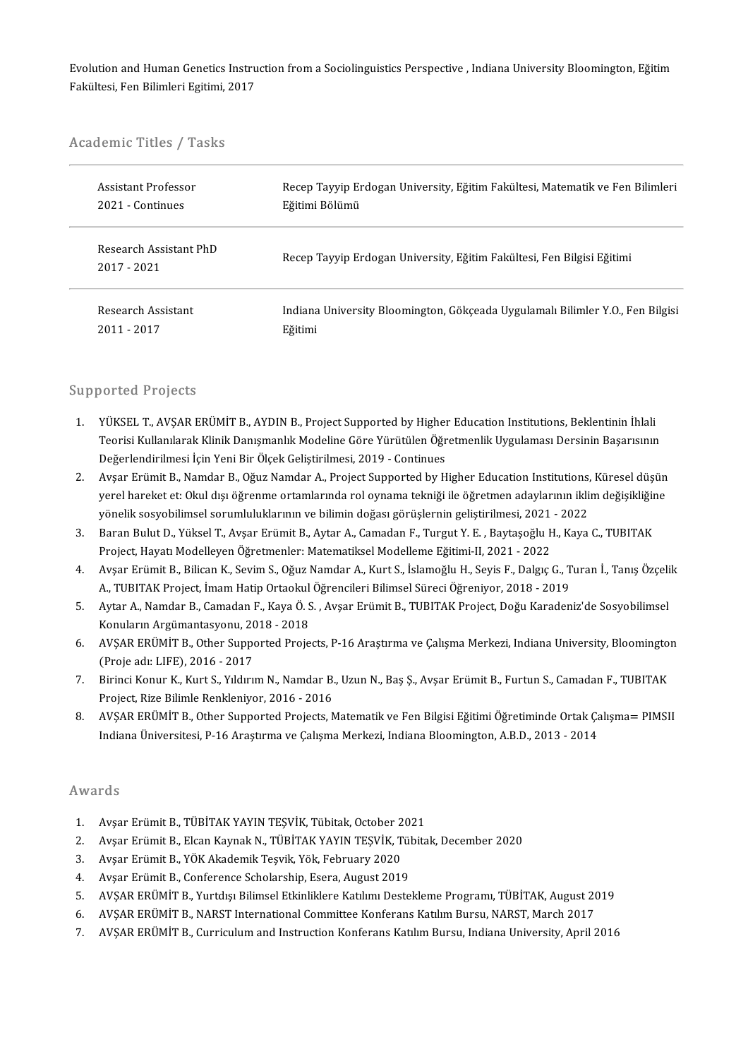Evolution and Human Genetics Instruction from a Sociolinguistics Perspective , Indiana University Bloomington, Eğitim<br>Fekültesi, Fen Bilimleri Egitimi, 2017 Evolution and Human Genetics Instru<br>Fakültesi, Fen Bilimleri Egitimi, 2017

# rakuitesi, ren Bilimieri Egitimi,<br>Academic Titles / Tasks

| Academic Titles / Tasks               |                                                                                |
|---------------------------------------|--------------------------------------------------------------------------------|
| Assistant Professor                   | Recep Tayyip Erdogan University, Eğitim Fakültesi, Matematik ve Fen Bilimleri  |
| 2021 Continues                        | Eğitimi Bölümü                                                                 |
| Research Assistant PhD<br>2017 - 2021 | Recep Tayyip Erdogan University, Eğitim Fakültesi, Fen Bilgisi Eğitimi         |
| Research Assistant                    | Indiana University Bloomington, Gökçeada Uygulamalı Bilimler Y.O., Fen Bilgisi |
| $2011 - 2017$                         | Eğitimi                                                                        |

#### Supported Projects

- upported Projects<br>1. YÜKSEL T., AVŞAR ERÜMİT B., AYDIN B., Project Supported by Higher Education Institutions, Beklentinin İhlali<br>Teorisi Kullanılarak Klinik Danısmanlık Medeline Göre Yürütülen Öğretmenlik Uygulaması Dersi Teorisi Kullanılarak Klinik Danışmanlık Modeline Göre Yürütülen Öğretmenlik Uygulaması Dersinin Başarısının<br>Değerlendirilmesi İçin Yeni Bir Ölçek Geliştirilmesi, 2019 - Continues YÜKSEL T., AVŞAR ERÜMİT B., AYDIN B., Project Supported by Higher<br>Teorisi Kullanılarak Klinik Danışmanlık Modeline Göre Yürütülen Öğr<br>Değerlendirilmesi İçin Yeni Bir Ölçek Geliştirilmesi, 2019 - Continues<br>Avçar Erümit B. N 2. Teorisi Kullanılarak Klinik Danışmanlık Modeline Göre Yürütülen Öğretmenlik Uygulaması Dersinin Başarısının<br>1993- Değerlendirilmesi İçin Yeni Bir Ölçek Geliştirilmesi, 2019 - Continues<br>2. Avşar Erümit B., Namdar B., Oğu
- Değerlendirilmesi İçin Yeni Bir Ölçek Geliştirilmesi, 2019 Continues<br>Avşar Erümit B., Namdar B., Oğuz Namdar A., Project Supported by Higher Education Institutions, Küresel düşün<br>yerel hareket et: Okul dışı öğrenme ortam Avşar Erümit B., Namdar B., Oğuz Namdar A., Project Supported by Higher Education Institutions,<br>yerel hareket et: Okul dışı öğrenme ortamlarında rol oynama tekniği ile öğretmen adaylarının ikli<br>yönelik sosyobilimsel soruml yerel hareket et: Okul dışı öğrenme ortamlarında rol oynama tekniği ile öğretmen adaylarının iklim değişikliğine<br>13. Baran Bulut D., Yüksel T., Avşar Erümit B., Aytar A., Camadan F., Turgut Y. E. , Baytaşoğlu H., Kaya C.,
- yönelik sosyobilimsel sorumluluklarının ve bilimin doğası görüşlernin geliştirilmesi, 2021<br>Baran Bulut D., Yüksel T., Avşar Erümit B., Aytar A., Camadan F., Turgut Y. E. , Baytaşoğlu H<br>Project, Hayatı Modelleyen Öğretmenle 3. Baran Bulut D., Yüksel T., Avşar Erümit B., Aytar A., Camadan F., Turgut Y. E. , Baytaşoğlu H., Kaya C., TUBITAK<br>Project, Hayatı Modelleyen Öğretmenler: Matematiksel Modelleme Eğitimi-II, 2021 - 2022<br>4. Avşar Erümit B.,
- Project, Hayatı Modelleyen Öğretmenler: Matematiksel Modelleme Eğitimi-II, 2021 2022<br>Avşar Erümit B., Bilican K., Sevim S., Oğuz Namdar A., Kurt S., İslamoğlu H., Seyis F., Dalgıç G., T<br>A., TUBITAK Project, İmam Hatip Or 4. Avşar Erümit B., Bilican K., Sevim S., Oğuz Namdar A., Kurt S., İslamoğlu H., Seyis F., Dalgıç G., Turan İ., Tanış Özçeli<br>A., TUBITAK Project, İmam Hatip Ortaokul Öğrencileri Bilimsel Süreci Öğreniyor, 2018 - 2019<br>5. Ay
- A., TUBITAK Project, İmam Hatip Ortaokul Öğrencileri Bilimsel Süreci Öğreniyor, 2018 2019<br>Aytar A., Namdar B., Camadan F., Kaya Ö. S. , Avşar Erümit B., TUBITAK Project, Doğu Karadeniz'de Sosyobilimsel<br>Konuların Argümant 5. Aytar A., Namdar B., Camadan F., Kaya Ö. S. , Avşar Erümit B., TUBITAK Project, Doğu Karadeniz'de Sosyobilimsel<br>Konuların Argümantasyonu, 2018 - 2018<br>6. AVŞAR ERÜMİT B., Other Supported Projects, P-16 Araştırma ve Çalış
- Konuların Argümantasyonu, 20<br>AVŞAR ERÜMİT B., Other Suppo<br>(Proje adı: LIFE), 2016 2017<br>Birinci Konur K., Kurt S., Vilduu 5. AVŞAR ERÜMİT B., Other Supported Projects, P-16 Araştırma ve Çalışma Merkezi, Indiana University, Bloomingto<br>(Proje adı: LIFE), 2016 - 2017<br>7. Birinci Konur K., Kurt S., Yıldırım N., Namdar B., Uzun N., Baş Ş., Avşar Er
- (Proje adı: LIFE), 2016 2017<br>Birinci Konur K., Kurt S., Yıldırım N., Namdar B.<br>Project, Rize Bilimle Renkleniyor, 2016 2016<br>AVSAR ERÜMİT B. Other Supported Brojects A 8. Birinci Konur K., Kurt S., Yıldırım N., Namdar B., Uzun N., Baş Ş., Avşar Erümit B., Furtun S., Camadan F., TUBITAK<br>Project, Rize Bilimle Renkleniyor, 2016 - 2016<br>8. AVŞAR ERÜMİT B., Other Supported Projects, Matematik
- Project, Rize Bilimle Renkleniyor, 2016 2016<br>AVŞAR ERÜMİT B., Other Supported Projects, Matematik ve Fen Bilgisi Eğitimi Öğretiminde Ortak Çalışma= PIMSII<br>Indiana Üniversitesi, P-16 Araştırma ve Çalışma Merkezi, Indiana

#### Awards

- 1. Avşar Erümit B., TÜBİTAK YAYIN TEŞVİK, Tübitak, October 2021<br>2. Avsar Erümit B., Elcan Kavnak N., TÜBİTAK YAYIN TESVİK. Tübit 1. Avşar Erümit B., TÜBİTAK YAYIN TEŞVİK, Tübitak, October 2<br>2. Avşar Erümit B., Elcan Kaynak N., TÜBİTAK YAYIN TEŞVİK, T<br>3. Avşar Erümit B., YÖK Akademik Teşvik, Yök, February 2020<br>4. Avçar Erümit B., Conference Scholarsh
- 2. AvşarErümitB.,ElcanKaynakN.,TÜBİTAKYAYINTEŞVİK,Tübitak,December 2020 2. Avşar Erümit B., Elcan Kaynak N., TÜBİTAK YAYIN TEŞVİK, Tül<br>3. Avşar Erümit B., YÖK Akademik Teşvik, Yök, February 2020<br>4. Avşar Erümit B., Conference Scholarship, Esera, August 2019<br>5. AVSAR ERÜMİT B. Yurtdısı Bilimsel
- 
- 
- 4. Avşar Erümit B., Conference Scholarship, Esera, August 2019<br>5. AVŞAR ERÜMİT B., Yurtdışı Bilimsel Etkinliklere Katılımı Destekleme Programı, TÜBİTAK, August 2019<br>6. AVŞAR ERÜMİT B., NARST International Committee Konfera 4. Avşar Erümit B., Conference Scholarship, Esera, August 2019<br>5. AVŞAR ERÜMİT B., Yurtdışı Bilimsel Etkinliklere Katılımı Destekleme Programı, TÜBİTAK, August 20<br>6. AVŞAR ERÜMİT B., NARST International Committee Konferans
- 
- 5. AVŞAR ERÜMİT B., Yurtdışı Bilimsel Etkinliklere Katılımı Destekleme Programı, TÜBİTAK, August 2019<br>6. AVŞAR ERÜMİT B., NARST International Committee Konferans Katılım Bursu, NARST, March 2017<br>7. AVŞAR ERÜMİT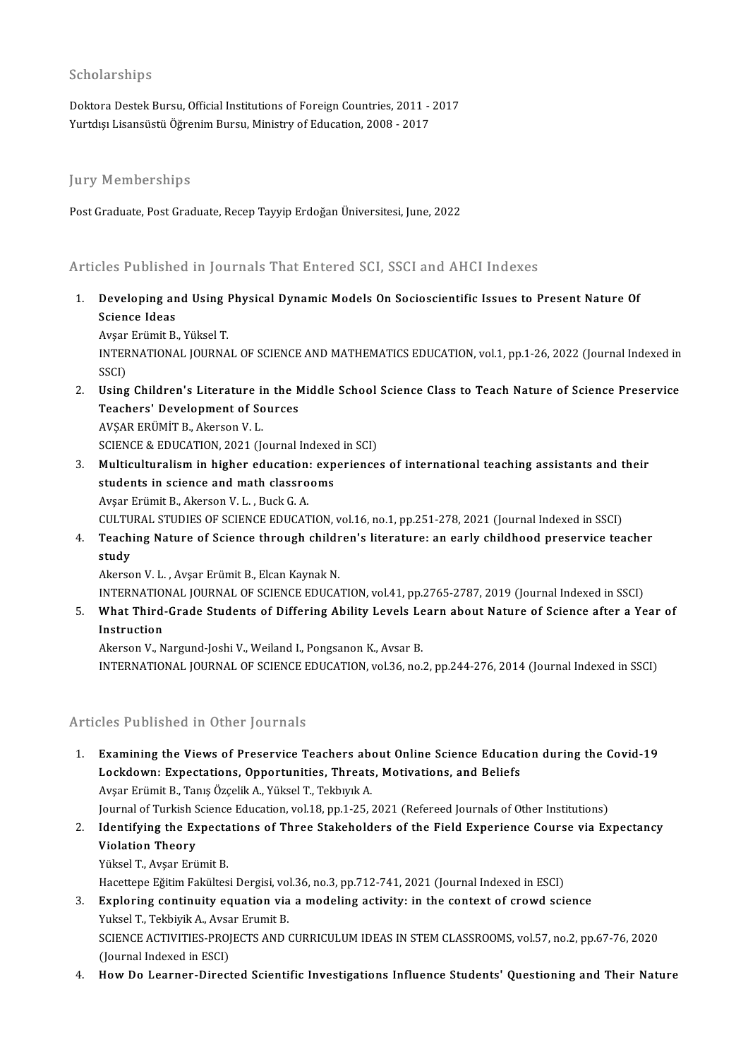#### Scholarships

Doktora Destek Bursu, Official Institutions of Foreign Countries, 2011 - 2017 Yurtdışı Lisansüstü Öğrenim Bursu, Ministry of Education, 2008 - 2017

#### **Jury Memberships**

Post Graduate, Post Graduate, Recep Tayyip Erdoğan Üniversitesi, June, 2022

### Articles Published in Journals That Entered SCI, SSCI and AHCI Indexes

Inticles Published in Journals That Entered SCI, SSCI and AHCI Indexes<br>1. Developing and Using Physical Dynamic Models On Socioscientific Issues to Present Nature Of<br>Science Ideas nes i asiisie<br>Developing ar<br>Science Ideas<br>Avear Frümit P **Developing and Using I<br>Science Ideas<br>Avşar Erümit B., Yüksel T.<br>INTERNATIONAL IQURNA** 

Science Ideas<br>Avşar Erümit B., Yüksel T.<br>INTERNATIONAL JOURNAL OF SCIENCE AND MATHEMATICS EDUCATION, vol.1, pp.1-26, 2022 (Journal Indexed in Avşar<br>INTEF<br>SSCI)<br>Heine INTERNATIONAL JOURNAL OF SCIENCE AND MATHEMATICS EDUCATION, vol.1, pp.1-26, 2022 (Journal Indexed in<br>SSCI)<br>2. Using Children's Literature in the Middle School Science Class to Teach Nature of Science Preservice<br>Teachers' D

- SSCI)<br>Using Children's Literature in the N<br>Teachers' Development of Sources<br>AVSAR EDÜMIT P. Akarean V. L Using Children's Literature in<br>Teachers' Development of So<br>AVŞAR ERÜMİT B., Akerson V. L.<br>SCIENCE & EDUCATION 2021 (L Teachers' Development of Sources<br>AVŞAR ERÜMİT B., Akerson V. L.<br>SCIENCE & EDUCATION, 2021 (Journal Indexed in SCI)<br>Multiqulturalism in higher education: experience 3. AVŞAR ERÜMİT B., Akerson V. L.<br>SCIENCE & EDUCATION, 2021 (Journal Indexed in SCI)<br>3. Multiculturalism in higher education: experiences of international teaching assistants and their<br>atudants in science and math elecanoo
- SCIENCE & EDUCATION, 2021 (Journal Indexed<br>Multiculturalism in higher education: exp<br>students in science and math classrooms<br>Avear Frümit B. Alexson V. J., Buck C. A Multiculturalism in higher education:<br>students in science and math classro<br>Avşar Erümit B., Akerson V. L. , Buck G. A.<br>CULTURAL STUDIES OF SCIENCE EDUCAT students in science and math classrooms<br>Avşar Erümit B., Akerson V. L. , Buck G. A.<br>CULTURAL STUDIES OF SCIENCE EDUCATION, vol.16, no.1, pp.251-278, 2021 (Journal Indexed in SSCI)<br>Teaching Nature of Science through childre Avşar Erümit B., Akerson V. L. , Buck G. A.<br>CULTURAL STUDIES OF SCIENCE EDUCATION, vol.16, no.1, pp.251-278, 2021 (Journal Indexed in SSCI)<br>4. Teaching Nature of Science through children's literature: an early childhood
- CULTU<br>Teachi<br>study<br>Akerse Teaching Nature of Science through childr<br>study<br>Akerson V. L. , Avşar Erümit B., Elcan Kaynak N.<br>INTERNATIONAL JOURNAL OF SCIENCE EDUCA study<br>Akerson V. L. , Avşar Erümit B., Elcan Kaynak N.<br>INTERNATIONAL JOURNAL OF SCIENCE EDUCATION, vol.41, pp.2765-2787, 2019 (Journal Indexed in SSCI)

Akerson V. L. , Avşar Erümit B., Elcan Kaynak N.<br>19. INTERNATIONAL JOURNAL OF SCIENCE EDUCATION, vol.41, pp.2765-2787, 2019 (Journal Indexed in SSCI)<br>5. What Third-Grade Students of Differing Ability Levels Learn about INTERNATION<br>**What Third**<br>Instruction What Third-Grade Students of Differing Ability Levels Le<br>Instruction<br>Akerson V., Nargund-Joshi V., Weiland I., Pongsanon K., Avsar B.<br>INTERNATIONAL JOURNAL OF SCIENCE EDUCATION vol 26, no.

I<mark>nstruction</mark><br>Akerson V., Nargund-Joshi V., Weiland I., Pongsanon K., Avsar B.<br>INTERNATIONAL JOURNAL OF SCIENCE EDUCATION, vol.36, no.2, pp.244-276, 2014 (Journal Indexed in SSCI)

### Articles Published in Other Journals

- Ficles Published in Other Journals<br>1. Examining the Views of Preservice Teachers about Online Science Education during the Covid-19<br>1. Examining the Views of Preservice Teachers about Online Science Education during the Co Lockdown: Expectations, Opportunity<br>Examining the Views of Preservice Teachers about Online Science Educati<br>Lockdown: Expectations, Opportunities, Threats, Motivations, and Beliefs Lockdown: Expectations, Opportunities, Threats, Motivations, and Beliefs<br>Avşar Erümit B., Tanış Özçelik A., Yüksel T., Tekbıyık A. Journal of Turkish Science Education, vol.18, pp.1-25, 2021 (Refereed Journals of Other Institutions) Avşar Erümit B., Tanış Özçelik A., Yüksel T., Tekbıyık A.<br>Journal of Turkish Science Education, vol.18, pp.1-25, 2021 (Refereed Journals of Other Institutions)<br>2. Identifying the Expectations of Three Stakeholders of the F
- Violation Theory<br>Yüksel T., Avşar Erümit B. **Identifying the Expecta<br>Violation Theory<br>Yüksel T., Avşar Erümit B.<br>Hassttana Eğitim Fakültas**

Hacettepe Eğitim Fakültesi Dergisi, vol.36, no.3, pp.712-741, 2021 (Journal Indexed in ESCI)

- Yüksel T., Avşar Erümit B.<br>Hacettepe Eğitim Fakültesi Dergisi, vol.36, no.3, pp.712-741, 2021 (Journal Indexed in ESCI)<br>3. Exploring continuity equation via a modeling activity: in the context of crowd science<br>Vulgel T. Te Hacettepe Eğitim Fakültesi Dergisi, vo<br>**Exploring continuity equation via**<br>Yuksel T., Tekbiyik A., Avsar Erumit B.<br>SCIENCE ACTIVITIES PROJECTS AND ( SCIENCE ACTIVITIES-PROJECTS AND CURRICULUM IDEAS IN STEM CLASSROOMS, vol.57, no.2, pp.67-76, 2020<br>(Journal Indexed in ESCI) Yuksel T., Tekbiyik A., Avsar Erumit B.
- 4. HowDo Learner-Directed Scientific Investigations Influence Students' Questioning and Their Nature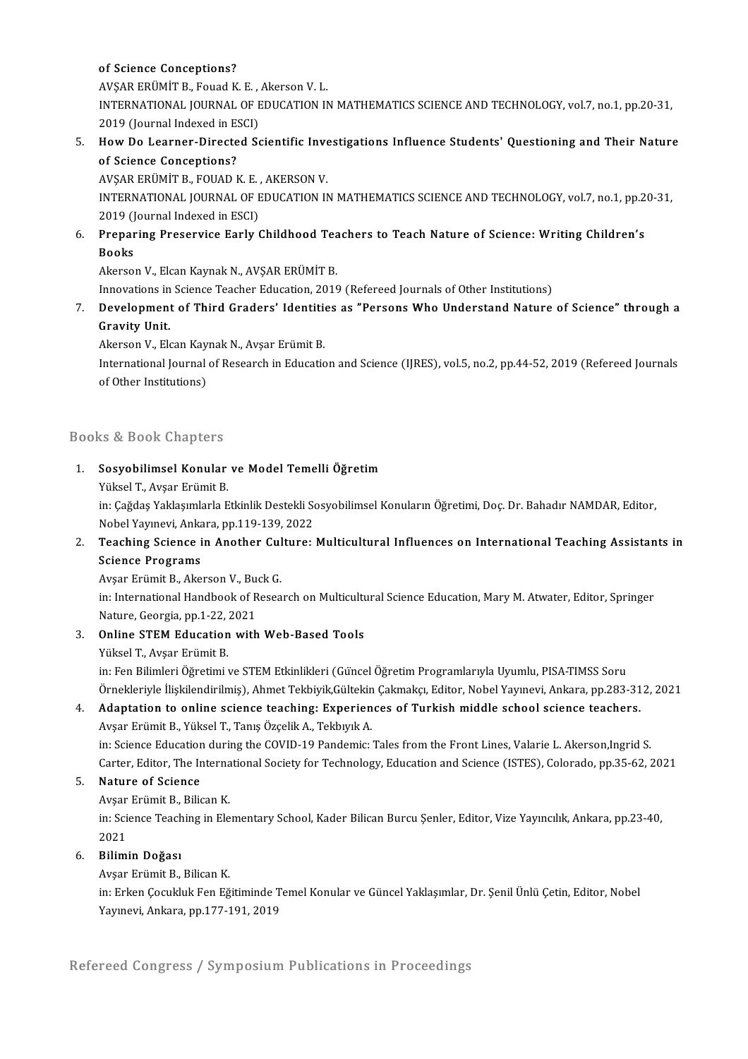#### of Science Conceptions?

of Science Conceptions?<br>AVŞAR ERÜMİT B., Fouad K. E. , Akerson V. L.<br>INTERNATIONAL JOUPNAL OF EDUCATION IN INTERNATIONAL JOURNAL OF EDUCATION IN MATHEMATICS SCIENCE AND TECHNOLOGY, vol.7, no.1, pp.20-31, AVŞAR ERÜMİT B., Fouad K. E. ,<br>INTERNATIONAL JOURNAL OF E<br>2019 (Journal Indexed in ESCI)<br>How De Learner Dinested S. INTERNATIONAL JOURNAL OF EDUCATION IN MATHEMATICS SCIENCE AND TECHNOLOGY, vol.7, no.1, pp.20-31,<br>2019 (Journal Indexed in ESCI)<br>5. How Do Learner-Directed Scientific Investigations Influence Students' Questioning and Their

2019 (Journal Indexed in ESCI)<br>How Do Learner-Directed Seconceptions? How Do Learner-Directed Scientific Inve<br>of Science Conceptions?<br>AVŞAR ERÜMİT B., FOUAD K. E. , AKERSON V.<br>INTERNATIONAL JOUPNAL OF EDUCATION IN

AVŞAR ERÜMİT B., FOUAD K.E., AKERSON V.

INTERNATIONAL JOURNAL OF EDUCATION IN MATHEMATICS SCIENCE AND TECHNOLOGY, vol.7, no.1, pp.20-31,<br>2019 (Journal Indexed in ESCI) INTERNATIONAL JOURNAL OF EDUCATION IN MATHEMATICS SCIENCE AND TECHNOLOGY, vol.7, no.1, pp.2<br>2019 (Journal Indexed in ESCI)<br>6. Preparing Preservice Early Childhood Teachers to Teach Nature of Science: Writing Children's<br>Poo

### 2019 (J<br><mark>Prepar</mark><br>Books Preparing Preservice Early Childhood Tea<br>Books<br>Akerson V., Elcan Kaynak N., AVŞAR ERÜMİT B.<br>Innevations in Ssiense Teasher Edusation 2016 Books<br>Akerson V., Elcan Kaynak N., AVŞAR ERÜMİT B.<br>Innovations in Science Teacher Education, 2019 (Refereed Journals of Other Institutions)

Akerson V., Elcan Kaynak N., AVŞAR ERÜMİT B.<br>Innovations in Science Teacher Education, 2019 (Refereed Journals of Other Institutions)<br>7. Development of Third Graders' Identities as "Persons Who Understand Nature of Scien Innovations in<br>Development<br>Gravity Unit.<br>Akarean V. Ek Development of Third Graders' Identitie<br>Gravity Unit.<br>Akerson V., Elcan Kaynak N., Avşar Erümit B.<br>International Journal of Bessansh in Educatie

Akerson V., Elcan Kaynak N., Avşar Erümit B.

Gravity Unit.<br>Akerson V., Elcan Kaynak N., Avşar Erümit B.<br>International Journal of Research in Education and Science (IJRES), vol.5, no.2, pp.44-52, 2019 (Refereed Journals<br>of Other Institutions)

### Books&Book Chapters

- looks & Book Chapters<br>1. Sosyobilimsel Konular ve Model Temelli Öğretim<br>- <sup>Vülgol T. Avçar Erümit P</sup> Yüksel T., Avşar Erümit B.<br>Yüksel T., Avşar Erümit B.<br>İn: Göğdes Vaklasımlarla E
	-

S<mark>osyobilimsel Konular ve Model Temelli Öğretim</mark><br>Yüksel T., Avşar Erümit B.<br>in: Çağdaş Yaklaşımlarla Etkinlik Destekli Sosyobilimsel Konuların Öğretimi, Doç. Dr. Bahadır NAMDAR, Editor, Yüksel T., Avşar Erümit B.<br>in: Çağdaş Yaklaşımlarla Etkinlik Destekli So<br>Nobel Yayınevi, Ankara, pp.119-139, 2022<br>Teashing Ssianse in Ansther Culture: in: Çağdaş Yaklaşımlarla Etkinlik Destekli Sosyobilimsel Konuların Öğretimi, Doç. Dr. Bahadır NAMDAR, Editor,<br>Nobel Yayınevi, Ankara, pp.119-139, 2022<br>2. Teaching Science in Another Culture: Multicultural Influences on Int

## Nobel Yayınevi, Anka<br>Teaching Science<br>Science Programs<br>Avsar Erümit B. Aka Teaching Science in Another Cul<br>Science Programs<br>Avşar Erümit B., Akerson V., Buck G.<br>in: International Handbook of Bessa

Science Programs<br>Avşar Erümit B., Akerson V., Buck G.<br>in: International Handbook of Research on Multicultural Science Education, Mary M. Atwater, Editor, Springer<br>Nature, Ceargia, pp.1, 22, 2021 Avşar Erümit B., Akerson V., Bu<br>in: International Handbook of R<br>Nature, Georgia, pp.1-22, 2021<br>Online STEM Education with Nature, Georgia, pp.1-22, 2021

## 3. Online STEM Education with Web-Based Tools<br>Yüksel T., Avşar Erümit B.

Online STEM Education with Web-Based Tools<br>Yüksel T., Avşar Erümit B.<br>in: Fen Bilimleri Öğretimi ve STEM Etkinlikleri (Güncel Öğretim Programlarıyla Uyumlu, PISA-TIMSS Soru<br>Önnekleriyle İlişkilendirilmiş), Abmet Tekbiyil: Yüksel T., Avşar Erümit B.<br>in: Fen Bilimleri Öğretimi ve STEM Etkinlikleri (Güncel Öğretim Programlarıyla Uyumlu, PISA-TIMSS Soru<br>Örnekleriyle İlişkilendirilmiş), Ahmet Tekbiyik,Gültekin Çakmakçı, Editor, Nobel Yayınevi, A in: Fen Bilimleri Öğretimi ve STEM Etkinlikleri (Güncel Öğretim Programlarıyla Uyumlu, PISA-TIMSS Soru<br>Örnekleriyle İlişkilendirilmiş), Ahmet Tekbiyik,Gültekin Çakmakçı, Editor, Nobel Yayınevi, Ankara, pp.283-31<br>4. Adaptat

# Örnekleriyle İlişkilendirilmiş), Ahmet Tekbiyik,Gültekin<br>**Adaptation to online science teaching: Experien**<br>Avşar Erümit B., Yüksel T., Tanış Özçelik A., Tekbıyık A.<br>inı Science Education during the COVID 19 Pandemig i

Adaptation to online science teaching: Experiences of Turkish middle school science teachers.<br>Avşar Erümit B., Yüksel T., Tanış Özçelik A., Tekbıyık A.<br>in: Science Education during the COVID-19 Pandemic: Tales from the Fro Avşar Erümit B., Yüksel T., Tanış Özçelik A., Tekbıyık A.<br>in: Science Education during the COVID-19 Pandemic: Tales from the Front Lines, Valarie L. Akerson,Ingrid S.<br>Carter, Editor, The International Society for Technolog in: Science Education during the COVID-19 Pandemic: Tales from the Front Lines, Valarie L. Akerson, Ingrid S.<br>Carter, Editor, The International Society for Technology, Education and Science (ISTES), Colorado, pp.35-62, 2<br>5 Carter, Editor, The Interna<br>**Nature of Science**<br>Avşar Erümit B., Bilican K.<br>in: Science Teaching in Fle

Nature of Science<br>Avşar Erümit B., Bilican K.<br>in: Science Teaching in Elementary School, Kader Bilican Burcu Şenler, Editor, Vize Yayıncılık, Ankara, pp.23-40, Avşar<br>in: Sci<br>2021<br>Pilimi

## 6. Bilimin Doğası

Avşar Erümit B., Bilican K.

Bilimin Doğası<br>Avşar Erümit B., Bilican K.<br>in: Erken Çocukluk Fen Eğitiminde Temel Konular ve Güncel Yaklaşımlar, Dr. Şenil Ünlü Çetin, Editor, Nobel<br>Yayınayi, Ankara, nn 177 101 2010 Avşar Erümit B., Bilican K.<br>in: Erken Çocukluk Fen Eğitiminde T<br>Yayınevi, Ankara, pp.177-191, 2019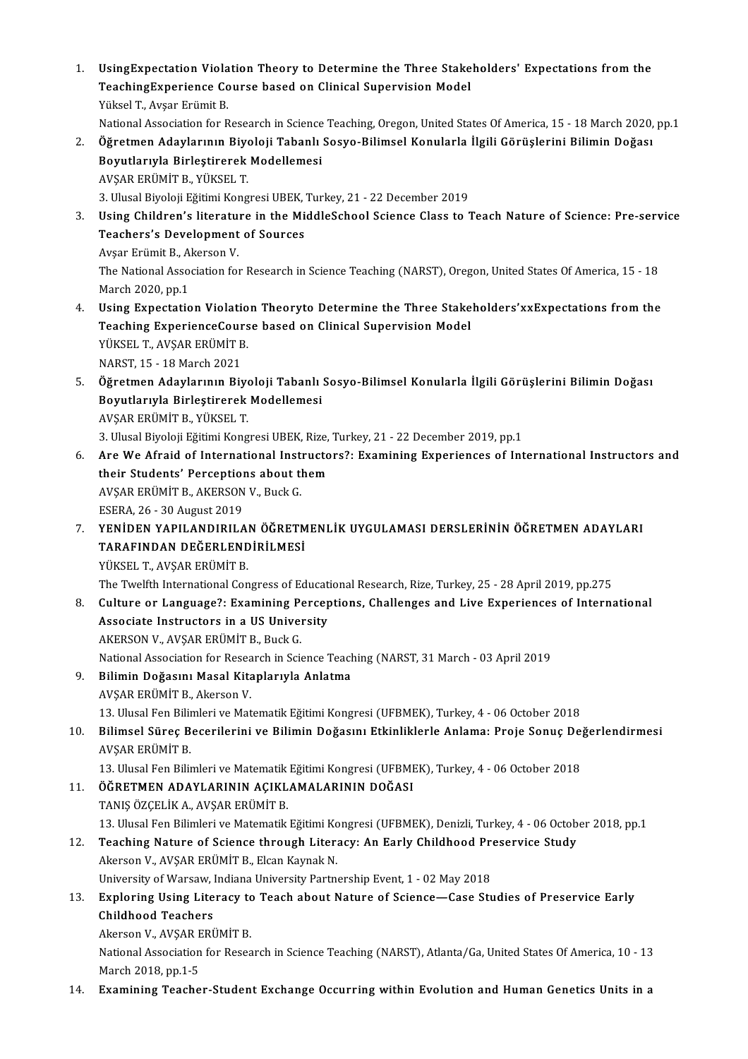- 1. UsingExpectation Violation Theory to Determine the Three Stakeholders' Expectations fromthe UsingExpectation Violation Theory to Determine the Three Stake<br>TeachingExperience Course based on Clinical Supervision Model<br>Vilteel T. Aveer Erümit P UsingExpectation Viola<br>TeachingExperience Co<br>Yüksel T., Avşar Erümit B.<br>National Assesiation for B TeachingExperience Course based on Clinical Supervision Model<br>Nüksel T., Avşar Erümit B.<br>National Association for Research in Science Teaching, Oregon, United States Of America, 15 - 18 March 2020, pp.1
	-
- 2. Yüksel T., Avşar Erümit B.<br>2. Öğretmen Adaylarının Biyoloji Tabanlı Sosyo-Bilimsel Konularla İlgili Görüşlerini Bilimin Doğası<br>2. Öğretmen Adaylarının Biyoloji Tabanlı Sosyo-Bilimsel Konularla İlgili Görüşlerini Bilimin National Association for Research in Science<br>Öğretmen Adaylarının Biyoloji Tabanlı<br>Boyutlarıyla Birleştirerek Modellemesi<br>AVSAP EPÜMİT P. VÜKSEL T Öğretmen Adaylarının Biye<br>Boyutlarıyla Birleştirerek<br>AVŞAR ERÜMİT B., YÜKSEL T.<br>2. Ulucal Biyeleji Fğitimi Kong <mark>Boyutlarıyla Birleştirerek Modellemesi</mark><br>AVŞAR ERÜMİT B., YÜKSEL T.<br>3. Ulusal Biyoloji Eğitimi Kongresi UBEK, Turkey, 21 - 22 December 2019<br>Heing Children's literature in the MiddleSchool Science Class te 1 AVŞAR ERÜMİT B., YÜKSEL T.<br>3. Ulusal Biyoloji Eğitimi Kongresi UBEK, Turkey, 21 - 22 December 2019<br>3. Using Children's literature in the MiddleSchool Science Class to Teach Nature of Science: Pre-service<br>Teachers's Devel
- 3. Ulusal Biyoloji Eğitimi Kongresi UBEK,<br>Using Children's literature in the Mi<br>Teachers's Development of Sources<br>Avear Frümit B. Akarson V. Using Children's literatu:<br>Teachers's Development<br>Avşar Erümit B., Akerson V.<br>The National Association for Teachers's Development of Sources<br>Avşar Erümit B., Akerson V.<br>The National Association for Research in Science Teaching (NARST), Oregon, United States Of America, 15 - 18<br>March 2020, pp.1 Avşar Erümit B., Akerson V. The National Association for Research in Science Teaching (NARST), Oregon, United States Of America, 15 - 18<br>March 2020, pp.1<br>4. Using Expectation Violation Theoryto Determine the Three Stakeholders'xxExpectations from the
- March 2020, pp.1<br>Using Expectation Violation Theoryto Determine the Three Stake<br>Teaching ExperienceCourse based on Clinical Supervision Model<br>VÜKSEL T. AVSAR ERÜMİT R Using Expectation Violatio<br>Teaching ExperienceCours<br>YÜKSEL T., AVŞAR ERÜMİT B.<br>NARST 15, 19 Marsh 2021 Teaching ExperienceCourse based on Clinical Supervision Model<br>YÜKSEL T., AVŞAR ERÜMİT B.<br>NARST, 15 - 18 March 2021 5. YÜKSEL T., AVŞAR ERÜMİT B.<br>5. Öğretmen Adaylarının Biyoloji Tabanlı Sosyo-Bilimsel Konularla İlgili Görüşlerini Bilimin Doğası<br>5. Öğretmen Adaylarının Biyoloji Tabanlı Sosyo-Bilimsel Konularla İlgili Görüşlerini Bilimin
- NARST, 15 18 March 2021<br>Öğretmen Adaylarının Biyoloji Tabanlı<br>Boyutlarıyla Birleştirerek Modellemesi<br>AVSAR EDÜMİT B. VÜKSEL T Boyutlarıyla Birleştirerek Modellemesi<br>AVŞAR ERÜMİT B., YÜKSEL T. Boyutlarıyla Birleştirerek Modellemesi<br>AVŞAR ERÜMİT B., YÜKSEL T.<br>3. Ulusal Biyoloji Eğitimi Kongresi UBEK, Rize, Turkey, 21 - 22 December 2019, pp.1<br>Are We Afraid of International Instructors?: Evamining Evnerianses of In
- 6. AreWe Afraid of International Instructors?: Examining Experiences of International Instructors and 3. Ulusal Biyoloji Eğitimi Kongresi UBEK, Rize,<br>Are We Afraid of International Instructo<br>their Students' Perceptions about them Are We Afraid of International Inst.<br>their Students' Perceptions about their Students' Perceptions about the<br>AVŞAR ERÜMİT B., AKERSON V., Buck G. their Students' Perception<br>AVŞAR ERÜMİT B., AKERSON<br>ESERA, 26 - 30 August 2019<br>YENİDEN YABU ANDIBU A AVŞAR ERÜMİT B., AKERSON V., Buck G.<br>1970 - ESERA, 26 - 30 August 2019<br>7. YENİDEN YAPILANDIRILAN ÖĞRETMENLİK UYGULAMASI DERSLERİNİN ÖĞRETMEN ADAYLARI<br>1980-YARAFINDAN DEĞERI ENDIRLI MESİ

## ESERA, 26 - 30 August 2019<br>YENİDEN YAPILANDIRILAN ÖĞRETM<br>TARAFINDAN DEĞERLENDİRİLMESİ<br>VÜKSEL T. AVSAR EDÜMİT P YENİDEN YAPILANDIRILA<br>TARAFINDAN DEĞERLEND<br>YÜKSEL T., AVŞAR ERÜMİT B.<br>The Turl<sup>ish</sup> International Con TARAFINDAN DEĞERLENDİRİLMESİ<br>YÜKSEL T., AVŞAR ERÜMİT B.<br>The Twelfth International Congress of Educational Research, Rize, Turkey, 25 - 28 April 2019, pp.275<br>Culture en Language?: Examining Barcentiona, Challenges and Live

YÜKSEL T., AVŞAR ERÜMİT B.<br>The Twelfth International Congress of Educational Research, Rize, Turkey, 25 - 28 April 2019, pp.275<br>8. Culture or Language?: Examining Perceptions, Challenges and Live Experiences of Internation The Twelfth International Congress of Educati<br>Culture or Language?: Examining Percep<br>Associate Instructors in a US University<br>AKERSON V. AVSAR EDÜMIT B. Buck C Culture or Language?: Examining Pe<br>Associate Instructors in a US Univer<br>AKERSON V., AVŞAR ERÜMİT B., Buck G.<br>National Association for Bessarsh in Sci Associate Instructors in a US University<br>AKERSON V., AVŞAR ERÜMİT B., Buck G.<br>National Association for Research in Science Teaching (NARST, 31 March - 03 April 2019<br>Bilimin Doğasını Masal Kitanlanula Anlatma

- AKERSON V., AVŞAR ERÜMİT B., Buck G.<br>National Association for Research in Science Teach<br>9. Bilimin Doğasını Masal Kitaplarıyla Anlatma<br>AVSAR ERÜMİT B. Akarean V. 9. Bilimin Doğasını Masal Kitaplarıyla Anlatma<br>AVŞAR ERÜMİT B., Akerson V. Bili<mark>min Doğasını Masal Kitaplarıyla Anlatma</mark><br>AVŞAR ERÜMİT B., Akerson V.<br>13. Ulusal Fen Bilimleri ve Matematik Eğitimi Kongresi (UFBMEK), Turkey, 4 - 06 October 2018<br>Bilimaal Sünas Basarilarini ve Bilimin Dağasını Etkinli 13. Ulusal Fen Bilimleri ve Matematik Eğitimi Kongresi (UFBMEK), Turkey, 4 - 06 October 2018<br>10. Bilimsel Süreç Becerilerini ve Bilimin Doğasını Etkinliklerle Anlama: Proje Sonuç Değerlendirmesi<br>10. Bilimsel Süreç
- 13. Ulusal Fen Bilir<br>Bilimsel Süreç B<br>AVŞAR ERÜMİT B.<br>12. Ulusal Fen Bilir Bilimsel Süreç Becerilerini ve Bilimin Doğasını Etkinliklerle Anlama: Proje Sonuç De<sub>i</sub><br>AVŞAR ERÜMİT B.<br>13. Ulusal Fen Bilimleri ve Matematik Eğitimi Kongresi (UFBMEK), Turkey, 4 - 06 October 2018<br>ÖğpetMEN ADAVI ARININ ACI

AVŞAR ERÜMİT B.<br>13. Ulusal Fen Bilimleri ve Matematik Eğitimi Kongresi (UFBMEK), Turkey, 4 - 06 October 2018<br>11. ÖĞRETMEN ADAYLARININ AÇIKLAMALARININ DOĞASI

## TANIŞÖZÇELİKA.,AVŞARERÜMİTB. ÖĞRETMEN ADAYLARININ AÇIKLAMALARININ DOĞASI<br>TANIŞ ÖZÇELİK A., AVŞAR ERÜMİT B.<br>13. Ulusal Fen Bilimleri ve Matematik Eğitimi Kongresi (UFBMEK), Denizli, Turkey, 4 - 06 October 2018, pp.1<br>Teashing Nature of Ssianse through L

TANIŞ ÖZÇELİK A., AVŞAR ERÜMİT B.<br>13. Ulusal Fen Bilimleri ve Matematik Eğitimi Kongresi (UFBMEK), Denizli, Turkey, 4 - 06 Octob<br>12. Teaching Nature of Science through Literacy: An Early Childhood Preservice Study<br>Alio 13. Ulusal Fen Bilimleri ve Matematik Eğitimi Kontaklında Nature of Science through Liter:<br>Akerson V., AVŞAR ERÜMİT B., Elcan Kaynak N.<br>Haiversity of Warsow, Indiana University Partn Teaching Nature of Science through Literacy: An Early Childhood Pre<br>Akerson V., AVŞAR ERÜMİT B., Elcan Kaynak N.<br>University of Warsaw, Indiana University Partnership Event, 1 - 02 May 2018<br>Evploring Heing Literacy to Teach Akerson V., AVŞAR ERÜMİT B., Elcan Kaynak N.<br>University of Warsaw, Indiana University Partnership Event, 1 - 02 May 2018<br>13. Exploring Using Literacy to Teach about Nature of Science—Case Studies of Preservice Early<br>Childb

## University of Warsaw, Indiana University Partnership Event, 1 - 02 May 2018<br>Exploring Using Literacy to Teach about Nature of Science—Case Stu<br>Childhood Teachers Exploring Using Literacy to<br>Childhood Teachers<br>Akerson V., AVŞAR ERÜMİT B.<br>National Association for Bessa

Akerson V., AVSAR ERÜMİT B.

National Association for Research in Science Teaching (NARST), Atlanta/Ga, United States Of America, 10 - 13<br>March 2018, pp.1-5

14. Examining Teacher-Student Exchange Occurring within Evolution and Human Genetics Units in a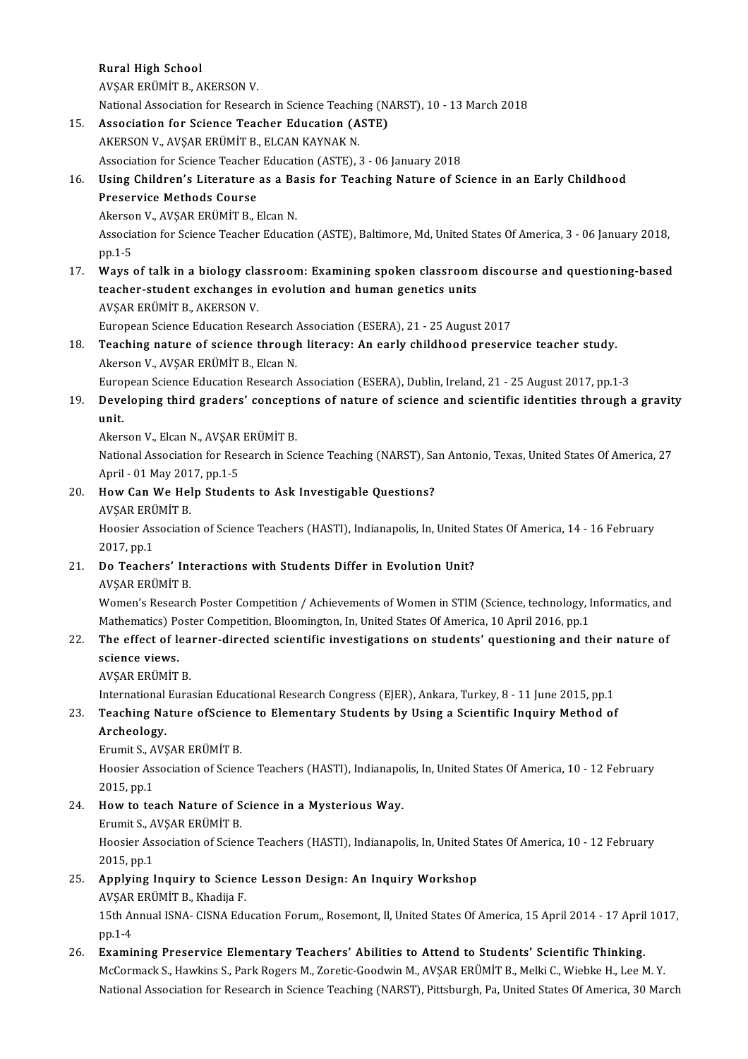#### Rural High School

AVŞARERÜMİTB.,AKERSONV.

Rural High School<br>AVŞAR ERÜMİT B., AKERSON V.<br>National Association for Research in Science Teaching (NARST), 10 - 13 March 2018<br>Association for Science Teacher Education (ASTE)

## 15. Association for Science Teacher Education (ASTE)<br>AKERSON V., AVŞAR ERÜMİT B., ELCAN KAYNAK N.

National Association for Research in Science Teachi<br>Association for Science Teacher Education (A<br>AKERSON V., AVŞAR ERÜMİT B., ELCAN KAYNAK N.<br>Association for Science Teacher Education (ASTE).

Association for Science Teacher Education (ASTE), 3 - 06 January 2018

## AKERSON V., AVŞAR ERÜMİT B., ELCAN KAYNAK N.<br>Association for Science Teacher Education (ASTE), 3 - 06 January 2018<br>16. Using Children's Literature as a Basis for Teaching Nature of Science in an Early Childhood<br>Preservi **Association for Science Teacher<br>Using Children's Literature<br>Preservice Methods Course<br>Akerson V. AVSAR ERÜMIT P. L** Using Children's Literature as a Ba<br>Preservice Methods Course<br>Akerson V., AVŞAR ERÜMİT B., Elcan N.<br>Association for Science Teacher Educat

Preservice Methods Course<br>Akerson V., AVŞAR ERÜMİT B., Elcan N.<br>Association for Science Teacher Education (ASTE), Baltimore, Md, United States Of America, 3 - 06 January 2018, Akerso<br>Associa<br>pp.1-5<br>Ways 17. Ways of talk in a biology classroom: Examining spoken classroom discourse and questioning-based<br>17. Ways of talk in a biology classroom: Examining spoken classroom discourse and questioning-based<br>17. Ways of talk in a

## pp.1-5<br>17. Ways of talk in a biology classroom: Examining spoken classroom discourse and questioning-based<br>17. teacher-student exchanges in evolution and human genetics units AVŞAR ERÜMİT B., AKERSON V. teacher-student exchanges in evolution and human genetics units<br>AVŞAR ERÜMİT B., AKERSON V.<br>European Science Education Research Association (ESERA), 21 - 25 August 2017<br>Teaching pature of esiange through literasyy An early

## 18. Teaching nature of science through literacy: An early childhood preservice teacher study.<br>Akerson V., AVŞAR ERÜMİT B., Elcan N. European Science Education Research<br>Teaching nature of science through<br>Akerson V., AVŞAR ERÜMİT B., Elcan N.<br>European Science Education Besearch

European Science Education Research Association (ESERA), Dublin, Ireland, 21 - 25 August 2017, pp.1-3

### Akerson V., AVŞAR ERÜMİT B., Elcan N.<br>19. Developing third graders' conceptions of nature of science and scientific identities through a gravity<br>19. Developing third graders' conceptions of nature of science and scientific Euro<br><mark>Deve</mark><br>unit. Developing third graders' concepti<br>unit.<br>Akerson V., Elcan N., AVŞAR ERÜMİT B.<br>National Association for Bosearch in Sc unit.<br>Akerson V., Elcan N., AVŞAR ERÜMİT B.<br>National Association for Research in Science Teaching (NARST), San Antonio, Texas, United States Of America, 27

Akerson V., Elcan N., AVŞAR<br>National Association for Res<br>April - 01 May 2017, pp.1-5<br>How Can We Help Studen

## 20. How Can We Help Students to Ask Investigable Questions?<br>AVSAR ERÜMİT B. April - 01 May 201<br><mark>How Can We Hel</mark><br>AVŞAR ERÜMİT B.<br>Hoosier Associatio

How Can We Help Students to Ask Investigable Questions?<br>AVŞAR ERÜMİT B.<br>Hoosier Association of Science Teachers (HASTI), Indianapolis, In, United States Of America, 14 - 16 February<br>2017.pp.1 AVŞAR ERÜ<br>Hoosier Ass<br>2017, pp.1<br>De Teache 2017, pp.1<br>21. Do Teachers' Interactions with Students Differ in Evolution Unit?<br>22. Do Teachers' Interactions with Students Differ in Evolution Unit?

## 2017, pp.1<br>21. Do Teachers' Interactions with Students Differ in Evolution Unit?<br>AVSAR ERÜMİT B.

Do Teachers' Interactions with Students Differ in Evolution Unit?<br>AVŞAR ERÜMİT B.<br>Women's Research Poster Competition / Achievements of Women in STIM (Science, technology, Informatics, and<br>Mathematics) Bester Competition P AVŞAR ERÜMİT B.<br>Women's Research Poster Competition / Achievements of Women in STIM (Science, technology, I<br>Mathematics) Poster Competition, Bloomington, In, United States Of America, 10 April 2016, pp.1<br>The effect of lear Women's Research Poster Competition / Achievements of Women in STIM (Science, technology, Informatics, and Mathematics) Poster Competition, Bloomington, In, United States Of America, 10 April 2016, pp.1<br>22. The effect of l

## Mathematics) P<br>**The effect of lengt**<br>science views.<br>AVSAR EDÜMIT The effect of lea<br>science views.<br>AVŞAR ERÜMİT B.<br>International Euro science views.<br>AVŞAR ERÜMİT B.<br>International Eurasian Educational Research Congress (EJER), Ankara, Turkey, 8 - 11 June 2015, pp.1<br>Teashing Nature efSsiense to Elementery Students by Heing e Ssientifie Inquiry Method ef

## 23. Teaching Nature of Science to Elementary Students by Using a Scientific Inquiry Method of Archeology.<br>Archeology. International<br>Teaching Na<br>Archeology. **Teaching Nature ofScienc<br>Archeology.<br>Erumit S., AVŞAR ERÜMİT B.**<br>Hoosiar Assosiation of Scien

Hoosier Association of Science Teachers (HASTI), Indianapolis, In, United States Of America, 10 - 12 February<br>2015, pp.1 Erumit S., A<br>Hoosier Ass<br>2015, pp.1<br>How to tas Hoosier Association of Science Teachers (HASTI), Indianapo<br>2015, pp.1<br>24. How to teach Nature of Science in a Mysterious Way.

# 2015, pp.1<br>How to teach Nature of S<br>Erumit S., AVŞAR ERÜMİT B.<br>Hoosiar Assosiation of Ssian

Erumit S., AVSAR ERÜMİT B.

Hoosier Association of Science Teachers (HASTI), Indianapolis, In, United States Of America, 10 - 12 February<br>2015, pp.1 Hoosier Association of Science Teachers (HASTI), Indianapolis, In, United St<br>2015, pp.1<br>25. Applying Inquiry to Science Lesson Design: An Inquiry Workshop<br>AVSAR EDÜMIT B. Khadija E

# 2015, pp.1<br>**Applying Inquiry to Sciene**<br>AVŞAR ERÜMİT B., Khadija F.<br>15th Annual ISNA, CISNA Ed.

Applying Inquiry to Science Lesson Design: An Inquiry Workshop<br>AVŞAR ERÜMİT B., Khadija F.<br>15th Annual ISNA- CISNA Education Forum,, Rosemont, Il, United States Of America, 15 April 2014 - 17 April 1017,<br>nn 1 4 AVŞAR ERÜMİT B., Khadija F.<br>15th Annual ISNA- CISNA Education Forum,, Rosemont, Il, United States Of America, 15 April 2014 - 17 April<br>15th Annual ISNA- CISNA Education Forum,, Rosemont, Il, United States Of America, 15 Ap 15th Annual ISNA- CISNA Education Forum, Rosemont, Il, United States Of America, 15 April 2014 - 17 April<br>26. Examining Preservice Elementary Teachers' Abilities to Attend to Students' Scientific Thinking.<br>26. Examining Pr

### McCormack S., Hawkins S., Park Rogers M., Zoretic-Goodwin M., AVŞAR ERÜMİT B., Melki C., Wiebke H., Lee M. Y. National Association for Research in Science Teaching (NARST), Pittsburgh, Pa, United States Of America, 30 March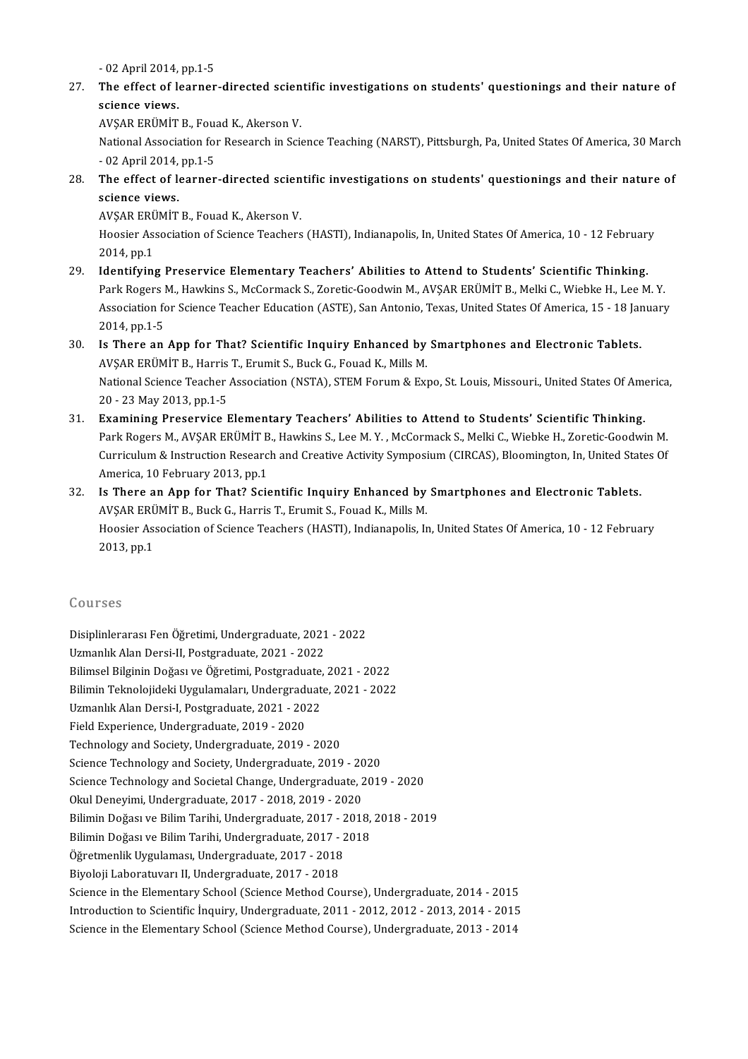-<br>02 April 2014, pp.1-5<br>The offect of learner

27. The effect of learner-directed scientific investigations on students' questionings and their nature of - 02 April 2014,<br>The effect of less<br>science views. The effect of learner-directed scien<br>science views.<br>AVŞAR ERÜMİT B., Fouad K., Akerson V.<br>National Association for Bessarsh in Sci

National Association for Research in Science Teaching (NARST), Pittsburgh, Pa, United States Of America, 30 March<br>- 02 April 2014, pp.1-5 AVŞAR ERÜMİT B., Fou:<br>National Association fo:<br>- 02 April 2014, pp.1-5<br>The offect of learner National Association for Research in Science Teaching (NARST), Pittsburgh, Pa, United States Of America, 30 March<br>28. The effect of learner-directed scientific investigations on students' questionings and their nature of<br>2

- 02 April 2014,<br>The effect of less<br>science views.<br>AVSAD EDÜMIT The effect of learner-directed scien<br>science views.<br>AVŞAR ERÜMİT B., Fouad K., Akerson V.<br>Hoosier Assesiation of Science Teachers

science views.<br>AVŞAR ERÜMİT B., Fouad K., Akerson V.<br>Hoosier Association of Science Teachers (HASTI), Indianapolis, In, United States Of America, 10 - 12 February AVŞAR ERÜ<br>Hoosier Ass<br>2014, pp.1<br>Idantifyin 2014, pp.1<br>2014, pp.1<br>**Identifying Preservice Elementary Teachers' Abilities to Attend to Students' Scientific Thinking.**<br>29. Identifying Preservice Elementary Teachers' Abilities to Attend to Students' Scientific Thinking

- 2014, pp.1<br>- Identifying Preservice Elementary Teachers' Abilities to Attend to Students' Scientific Thinking.<br>- Park Rogers M., Hawkins S., McCormack S., Zoretic-Goodwin M., AVŞAR ERÜMİT B., Melki C., Wiebke H., Lee M. Y Identifying Preservice Elementary Teachers' Abilities to Attend to Students' Scientific Thinking.<br>Park Rogers M., Hawkins S., McCormack S., Zoretic-Goodwin M., AVŞAR ERÜMİT B., Melki C., Wiebke H., Lee M. Y.<br>Association fo Park Rogers I<br>Association fo<br>2014, pp.1-5 Association for Science Teacher Education (ASTE), San Antonio, Texas, United States Of America, 15 - 18 Jan<br>2014, pp.1-5<br>30. Is There an App for That? Scientific Inquiry Enhanced by Smartphones and Electronic Tablets.
- 2014, pp.1-5<br>Is There an App for That? Scientific Inquiry Enhanced by<br>AVŞAR ERÜMİT B., Harris T., Erumit S., Buck G., Fouad K., Mills M.<br>National Science Teacher Association (NSTA), STEM Ferum & Evr 30. Is There an App for That? Scientific Inquiry Enhanced by Smartphones and Electronic Tablets.<br>AVŞAR ERÜMİT B., Harris T., Erumit S., Buck G., Fouad K., Mills M.<br>National Science Teacher Association (NSTA), STEM Forum & AVŞAR ERÜMİT B., Harris<br>National Science Teacher<br>20 - 23 May 2013, pp.1-5<br>Evemining Presenvise L National Science Teacher Association (NSTA), STEM Forum & Expo, St. Louis, Missouri., United States Of Ame<br>20 - 23 May 2013, pp.1-5<br>31. Examining Preservice Elementary Teachers' Abilities to Attend to Students' Scientific
- 20 23 May 2013, pp.1-5<br><mark>Examining Preservice Elementary Teachers' Abilities to Attend to Students' Scientific Thinking.</mark><br>Park Rogers M., AVŞAR ERÜMİT B., Hawkins S., Lee M. Y. , McCormack S., Melki C., Wiebke H., Zoretic Examining Preservice Elementary Teachers' Abilities to Attend to Students' Scientific Thinking.<br>Park Rogers M., AVŞAR ERÜMİT B., Hawkins S., Lee M. Y. , McCormack S., Melki C., Wiebke H., Zoretic-Goodwin M.<br>Curriculum & In Park Rogers M., AVŞAR ERÜMİT B., Hawkins S., Lee M. Y. , McCormack S., Melki C., Wiebke H., Zoretic-Goodwin M.<br>Curriculum & Instruction Research and Creative Activity Symposium (CIRCAS), Bloomington, In, United States Of<br>A Curriculum & Instruction Research and Creative Activity Symposium (CIRCAS), Bloomington, In, United Stat<br>America, 10 February 2013, pp.1<br>32. Is There an App for That? Scientific Inquiry Enhanced by Smartphones and Electron
- America, 10 February 2013, pp.1<br>Is There an App for That? Scientific Inquiry Enhanced by<br>AVŞAR ERÜMİT B., Buck G., Harris T., Erumit S., Fouad K., Mills M.<br>Hoosier Association of Science Teachers (HASTI), Indiananelis Ir Is There an App for That? Scientific Inquiry Enhanced by Smartphones and Electronic Tablets.<br>AVŞAR ERÜMİT B., Buck G., Harris T., Erumit S., Fouad K., Mills M.<br>Hoosier Association of Science Teachers (HASTI), Indianapolis, AVŞAR ERÜ<br>Hoosier Ass<br>2013, pp.1 2013, pp.1<br>Courses

| Courses                                                                                  |
|------------------------------------------------------------------------------------------|
| Disiplinlerarası Fen Öğretimi, Undergraduate, 2021 - 2022                                |
| Uzmanlık Alan Dersi-II, Postgraduate, 2021 - 2022                                        |
| Bilimsel Bilginin Doğası ve Öğretimi, Postgraduate, 2021 - 2022                          |
| Bilimin Teknolojideki Uygulamaları, Undergraduate, 2021 - 2022                           |
| Uzmanlık Alan Dersi-I, Postgraduate, 2021 - 2022                                         |
| Field Experience, Undergraduate, 2019 - 2020                                             |
| Technology and Society, Undergraduate, 2019 - 2020                                       |
| Science Technology and Society, Undergraduate, 2019 - 2020                               |
| Science Technology and Societal Change, Undergraduate, 2019 - 2020                       |
| Okul Deneyimi, Undergraduate, 2017 - 2018, 2019 - 2020                                   |
| Bilimin Doğası ve Bilim Tarihi, Undergraduate, 2017 - 2018, 2018 - 2019                  |
| Bilimin Doğası ve Bilim Tarihi, Undergraduate, 2017 - 2018                               |
| Öğretmenlik Uygulaması, Undergraduate, 2017 - 2018                                       |
| Biyoloji Laboratuvarı II, Undergraduate, 2017 - 2018                                     |
| Science in the Elementary School (Science Method Course), Undergraduate, 2014 - 2015     |
| Introduction to Scientific İnquiry, Undergraduate, 2011 - 2012, 2012 - 2013, 2014 - 2015 |
| Science in the Elementary School (Science Method Course), Undergraduate, 2013 - 2014     |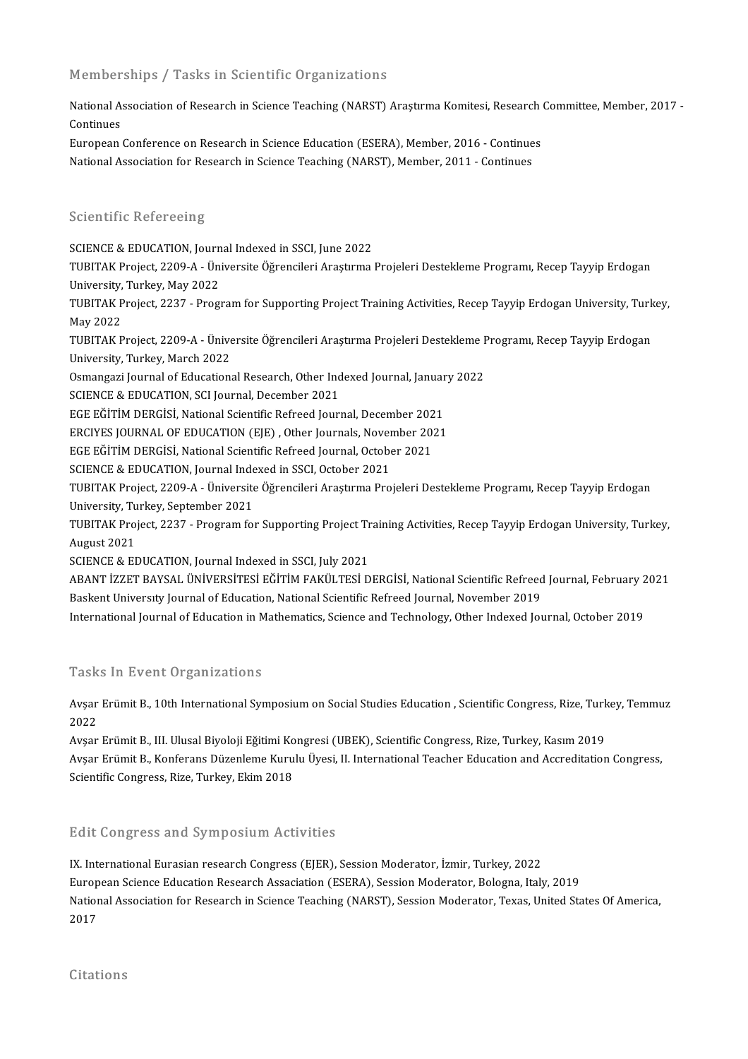### Memberships / Tasks in Scientific Organizations

Memberships / Tasks in Scientific Organizations<br>National Association of Research in Science Teaching (NARST) Araştırma Komitesi, Research Committee, Member, 2017 -<br>Continues Mational As<br>Continues<br>European National Association of Research in Science Teaching (NARST) Araştırma Komitesi, Research<br>Continues<br>European Conference on Research in Science Education (ESERA), Member, 2016 - Continues<br>National Association for Besearch i

Continues<br>European Conference on Research in Science Education (ESERA), Member, 2016 - Continue<br>National Association for Research in Science Teaching (NARST), Member, 2011 - Continues National Association for Research in Science Teaching (NARST), Member, 2011 - Continues<br>Scientific Refereeing

SCIENCE & EDUCATION, Journal Indexed in SSCI, June 2022

TUBITAK Project, 2209-A - Üniversite Öğrencileri Araştırma Projeleri Destekleme Programı, Recep Tayyip Erdogan SCIENCE & EDUCATION, Journ<br>TUBITAK Project, 2209-A - Üni<br>University, Turkey, May 2022<br>TUBITA*K* Project, 2227 - Progi

TUBITAK Project, 2237 - Program for Supporting Project Training Activities, Recep Tayyip Erdogan University, Turkey,<br>May 2022 University,<br>TUBITAK P<br>May 2022<br>TUBITAK B TUBITAK Project, 2237 - Program for Supporting Project Training Activities, Recep Tayyip Erdogan University, Turk<br>May 2022<br>TUBITAK Project, 2209-A - Üniversite Öğrencileri Araştırma Projeleri Destekleme Programı, Recep Tay

May 2022<br>TUBITAK Project, 2209-A - Ünive<br>University, Turkey, March 2022<br>Osmangazi Journal of Education TUBITAK Project, 2209-A - Üniversite Öğrencileri Araştırma Projeleri Destekleme F<br>University, Turkey, March 2022<br>Osmangazi Journal of Educational Research, Other Indexed Journal, January 2022<br>SCIENCE & EDUCATION, SCI Journ University, Turkey, March 2022<br>Osmangazi Journal of Educational Research, Other Ind<br>SCIENCE & EDUCATION, SCI Journal, December 2021<br>ECE FĞİTİM DERÇİSİ, National Scientific Refreed Journ

Osmangazi Journal of Educational Research, Other Indexed Journal, Januar<br>SCIENCE & EDUCATION, SCI Journal, December 2021<br>EGE EĞİTİM DERGİSİ, National Scientific Refreed Journal, December 2021<br>ERCIVES JOURNAL OF EDUCATION (

EGE EĞİTİM DERGİSİ, National Scientific Refreed Journal, December 202<br>ERCIYES JOURNAL OF EDUCATION (EJE) , Other Journals, November 201<br>EGE EĞİTİM DERGİSİ, National Scientific Refreed Journal, October 2021<br>SCIENCE & EDUCAT

SCIENCE & EDUCATION, SCI Journal, December 2021<br>EGE EĞİTİM DERGİSİ, National Scientific Refreed Journal, December 2021<br>ERCIYES JOURNAL OF EDUCATION (EJE) , Other Journals, November 2021<br>ECE EĞİTİM DERÇİSİ, National Scienti ERCIYES JOURNAL OF EDUCATION (EJE) , Other Journals, Nover<br>EGE EĞİTİM DERGİSİ, National Scientific Refreed Journal, Octobe<br>SCIENCE & EDUCATION, Journal Indexed in SSCI, October 2021<br>TUBITAK Preject, 2200 A., Üniversite Öğr

EGE EĞİTİM DERGİSİ, National Scientific Refreed Journal, October 2021<br>SCIENCE & EDUCATION, Journal Indexed in SSCI, October 2021<br>TUBITAK Project, 2209-A - Üniversite Öğrencileri Araştırma Projeleri Destekleme Programı, Rec SCIENCE & EDUCATION, Journal Inde<br>TUBITAK Project, 2209-A - Üniversite<br>University, Turkey, September 2021<br>TUBITAK Project, 2227 - Program fo TUBITAK Project, 2209-A - Üniversite Öğrencileri Araştırma Projeleri Destekleme Programı, Recep Tayyip Erdogan<br>University, Turkey, September 2021<br>TUBITAK Project, 2237 - Program for Supporting Project Training Activities,

University, Tu<br>TUBITAK Proj<br>August 2021<br>SCIENCE & FI TUBITAK Project, 2237 - Program for Supporting Project Tr<br>August 2021<br>SCIENCE & EDUCATION, Journal Indexed in SSCI, July 2021<br>ARANT IZZET RAVSAL ÜNIVERSITESI EĞITIM FAKÜLTESI D

August 2021<br>SCIENCE & EDUCATION, Journal Indexed in SSCI, July 2021<br>ABANT İZZET BAYSAL ÜNİVERSİTESİ EĞİTİM FAKÜLTESİ DERGİSİ, National Scientific Refreed Journal, February 2021<br>Raskont University Journal of Edusation, Nati SCIENCE & EDUCATION, Journal Indexed in SSCI, July 2021<br>ABANT İZZET BAYSAL ÜNİVERSİTESİ EĞİTİM FAKÜLTESİ DERGİSİ, National Scientific Refreed<br>Baskent University Journal of Education, National Scientific Refreed Journal, No ABANT İZZET BAYSAL ÜNİVERSİTESİ EĞİTİM FAKÜLTESİ DERGİSİ, National Scientific Refreed Journal, February 2<br>Baskent Universıty Journal of Education, National Scientific Refreed Journal, November 2019<br>International Journal of

International Journal of Education in Mathematics, Science and Technology, Other Indexed Journal, October 2019<br>Tasks In Event Organizations

Tasks In Event Organizations<br>Avşar Erümit B., 10th International Symposium on Social Studies Education , Scientific Congress, Rize, Turkey, Temmuz<br>2022  $Avsar$ <br> $2022$ Avşar Erümit B., 10th International Symposium on Social Studies Education , Scientific Congress, Rize, Turk<br>2022<br>Avşar Erümit B., III. Ulusal Biyoloji Eğitimi Kongresi (UBEK), Scientific Congress, Rize, Turkey, Kasım 2019<br>

2022<br>Avşar Erümit B., III. Ulusal Biyoloji Eğitimi Kongresi (UBEK), Scientific Congress, Rize, Turkey, Kasım 2019<br>Avşar Erümit B., Konferans Düzenleme Kurulu Üyesi, II. International Teacher Education and Accreditation Con Scientific Congress, Rize, Turkey, Ekim 2018

### Edit Congress and Symposium Activities

IX. International Eurasian research Congress (EJER), Session Moderator, İzmir, Turkey, 2022 European Science Education Research Assaciation (ESERA), Session Moderator, Bologna, Italy, 2019 IX. International Eurasian research Congress (EJER), Session Moderator, İzmir, Turkey, 2022<br>European Science Education Research Assaciation (ESERA), Session Moderator, Bologna, Italy, 2019<br>National Association for Research Europ<br>Natior<br>2017 2017<br>Citations